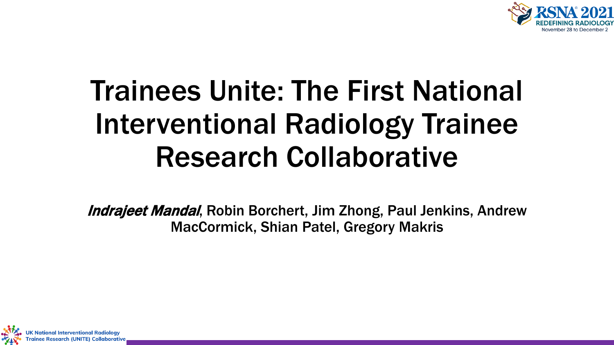

# Trainees Unite: The First National Interventional Radiology Trainee Research Collaborative

Indrajeet Mandal, Robin Borchert, Jim Zhong, Paul Jenkins, Andrew MacCormick, Shian Patel, Gregory Makris

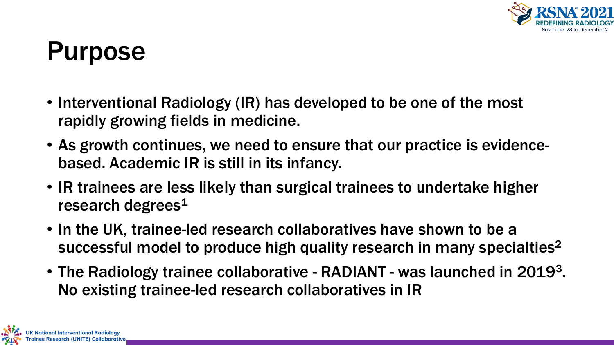

#### Purpose

- Interventional Radiology (IR) has developed to be one of the most rapidly growing fields in medicine.
- As growth continues, we need to ensure that our practice is evidencebased. Academic IR is still in its infancy.
- IR trainees are less likely than surgical trainees to undertake higher research degrees $1$
- In the UK, trainee-led research collaboratives have shown to be a successful model to produce high quality research in many specialties<sup>2</sup>
- The Radiology trainee collaborative RADIANT was launched in 2019<sup>3</sup>. No existing trainee-led research collaboratives in IR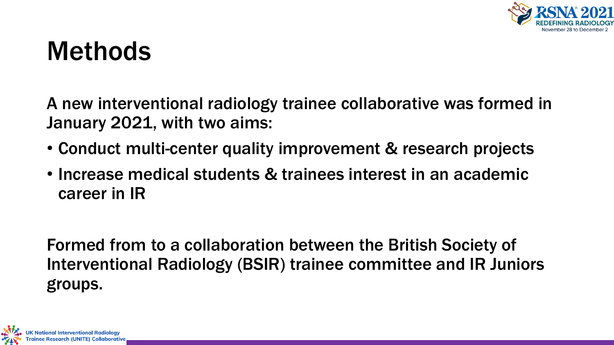

#### Methods

A new interventional radiology trainee collaborative was formed in January 2021, with two aims:

- Conduct multi-center quality improvement & research projects
- Increase medical students & trainees interest in an academic career in IR

Formed from to a collaboration between the British Society of Interventional Radiology (BSIR) trainee committee and IR Juniors groups.

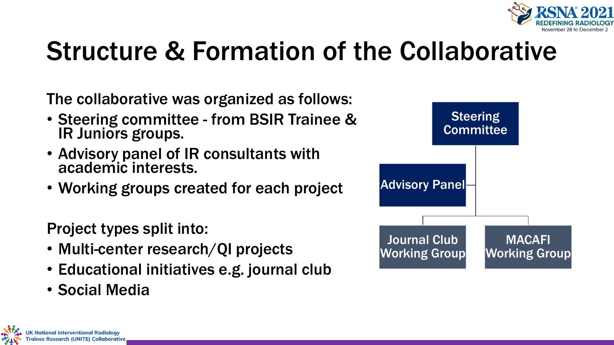

# Structure & Formation of the Collaborative

The collaborative was organized as follows:

- Steering committee from BSIR Trainee & IR Juniors groups.
- Advisory panel of IR consultants with academic interests.
- Working groups created for each project

Project types split into:

- Multi-center research/QI projects
- Educational initiatives e.g. journal club
- Social Media

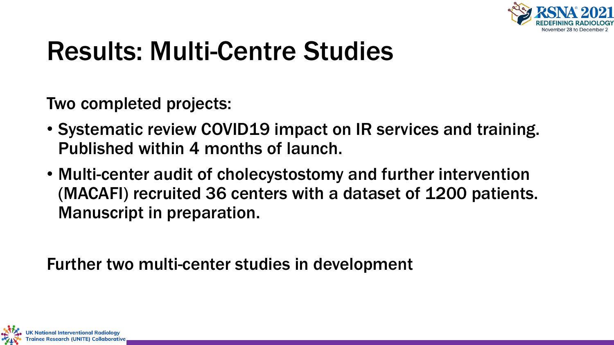

## Results: Multi-Centre Studies

Two completed projects:

- Systematic review COVID19 impact on IR services and training. Published within 4 months of launch.
- Multi-center audit of cholecystostomy and further intervention (MACAFI) recruited 36 centers with a dataset of 1200 patients. Manuscript in preparation.

Further two multi-center studies in development

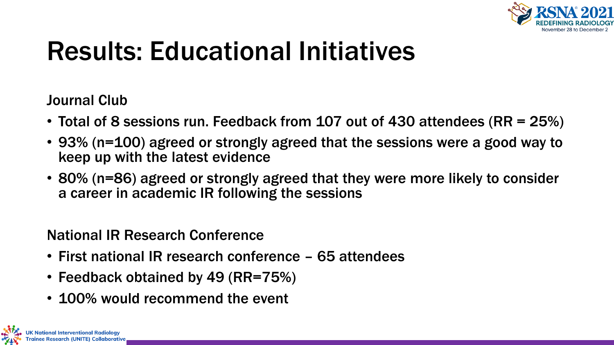

# Results: Educational Initiatives

Journal Club

- Total of 8 sessions run. Feedback from 107 out of 430 attendees (RR = 25%)
- 93% (n=100) agreed or strongly agreed that the sessions were a good way to keep up with the latest evidence
- 80% (n=86) agreed or strongly agreed that they were more likely to consider a career in academic IR following the sessions

National IR Research Conference

- First national IR research conference 65 attendees
- Feedback obtained by 49 (RR=75%)
- 100% would recommend the event

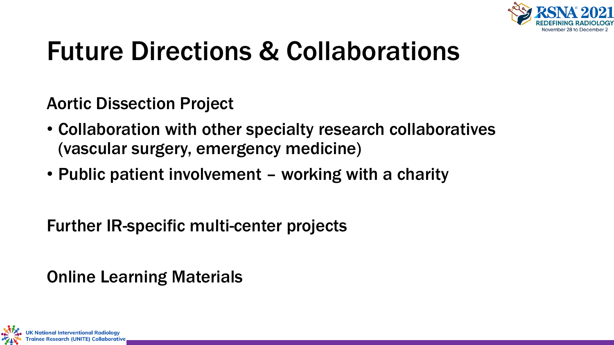

## Future Directions & Collaborations

Aortic Dissection Project

- Collaboration with other specialty research collaboratives (vascular surgery, emergency medicine)
- Public patient involvement working with a charity

Further IR-specific multi-center projects

Online Learning Materials

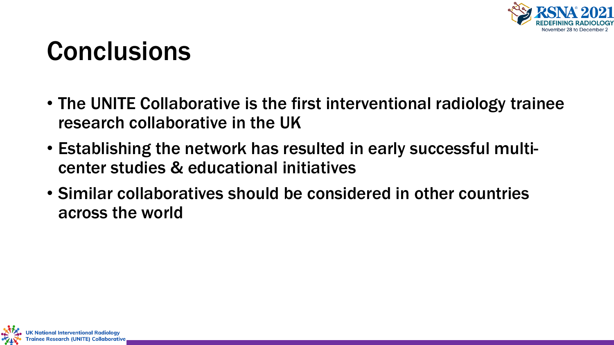

### Conclusions

- The UNITE Collaborative is the first interventional radiology trainee research collaborative in the UK
- Establishing the network has resulted in early successful multicenter studies & educational initiatives
- Similar collaboratives should be considered in other countries across the world